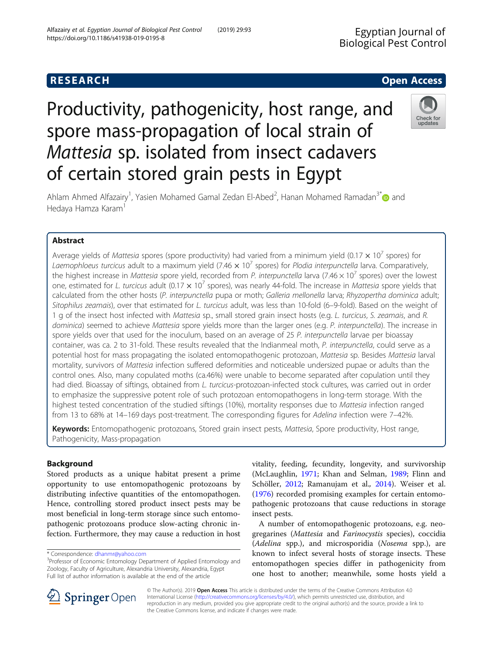# **RESEARCH CHE Open Access**

# Productivity, pathogenicity, host range, and spore mass-propagation of local strain of Mattesia sp. isolated from insect cadavers of certain stored grain pests in Egypt



Ahlam Ahmed Alfazairy<sup>1</sup>, Yasien Mohamed Gamal Zedan El-Abed<sup>2</sup>, Hanan Mohamed Ramadan<sup>3\*</sup> @ and Hedaya Hamza Karam<sup>1</sup>

# Abstract

Average yields of Mattesia spores (spore productivity) had varied from a minimum yield (0.17  $\times$  10<sup>7</sup> spores) for Laemophloeus turcicus adult to a maximum yield (7.46  $\times$  10<sup>7</sup> spores) for Plodia interpunctella larva. Comparatively, the highest increase in Mattesia spore yield, recorded from P. interpunctella larva (7.46  $\times$  10<sup>7</sup> spores) over the lowest one, estimated for L. turcicus adult (0.17  $\times$  10<sup>7</sup> spores), was nearly 44-fold. The increase in *Mattesia* spore yields that calculated from the other hosts (P. interpunctella pupa or moth; Galleria mellonella larva; Rhyzopertha dominica adult; Sitophilus zeamais), over that estimated for L. turcicus adult, was less than 10-fold (6–9-fold). Based on the weight of 1 g of the insect host infected with Mattesia sp., small stored grain insect hosts (e.g. L. turcicus, S. zeamais, and R. dominica) seemed to achieve Mattesia spore yields more than the larger ones (e.g. P. interpunctella). The increase in spore yields over that used for the inoculum, based on an average of 25 P. interpunctella larvae per bioassay container, was ca. 2 to 31-fold. These results revealed that the Indianmeal moth, P. interpunctella, could serve as a potential host for mass propagating the isolated entomopathogenic protozoan, Mattesia sp. Besides Mattesia larval mortality, survivors of Mattesia infection suffered deformities and noticeable undersized pupae or adults than the control ones. Also, many copulated moths (ca.46%) were unable to become separated after copulation until they had died. Bioassay of siftings, obtained from L. turcicus-protozoan-infected stock cultures, was carried out in order to emphasize the suppressive potent role of such protozoan entomopathogens in long-term storage. With the highest tested concentration of the studied siftings (10%), mortality responses due to Mattesia infection ranged from 13 to 68% at 14–169 days post-treatment. The corresponding figures for Adelina infection were 7–42%.

Keywords: Entomopathogenic protozoans, Stored grain insect pests, Mattesia, Spore productivity, Host range, Pathogenicity, Mass-propagation

# Background

Stored products as a unique habitat present a prime opportunity to use entomopathogenic protozoans by distributing infective quantities of the entomopathogen. Hence, controlling stored product insect pests may be most beneficial in long-term storage since such entomopathogenic protozoans produce slow-acting chronic infection. Furthermore, they may cause a reduction in host vitality, feeding, fecundity, longevity, and survivorship (McLaughlin, [1971](#page-9-0); Khan and Selman, [1989;](#page-9-0) Flinn and Schöller, [2012](#page-9-0); Ramanujam et al., [2014](#page-10-0)). Weiser et al. ([1976\)](#page-10-0) recorded promising examples for certain entomopathogenic protozoans that cause reductions in storage insect pests.

A number of entomopathogenic protozoans, e.g. neogregarines (Mattesia and Farinocystis species), coccidia (Adelina spp.), and microsporidia (Nosema spp.), are known to infect several hosts of storage insects. These entomopathogen species differ in pathogenicity from one host to another; meanwhile, some hosts yield a



© The Author(s). 2019 Open Access This article is distributed under the terms of the Creative Commons Attribution 4.0 International License ([http://creativecommons.org/licenses/by/4.0/\)](http://creativecommons.org/licenses/by/4.0/), which permits unrestricted use, distribution, and reproduction in any medium, provided you give appropriate credit to the original author(s) and the source, provide a link to the Creative Commons license, and indicate if changes were made.

<sup>\*</sup> Correspondence: [dhanmr@yahoo.com](mailto:dhanmr@yahoo.com) <sup>3</sup>

<sup>&</sup>lt;sup>3</sup>Professor of Economic Entomology Department of Applied Entomology and Zoology, Faculty of Agriculture, Alexandria University, Alexandria, Egypt Full list of author information is available at the end of the article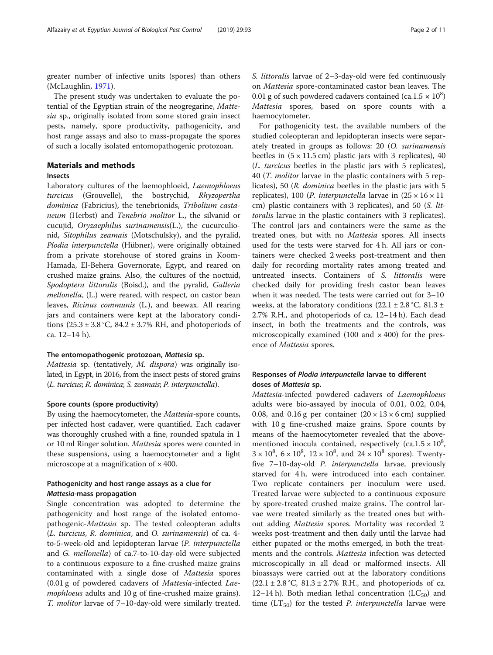greater number of infective units (spores) than others (McLaughlin, [1971\)](#page-9-0).

The present study was undertaken to evaluate the potential of the Egyptian strain of the neogregarine, Mattesia sp., originally isolated from some stored grain insect pests, namely, spore productivity, pathogenicity, and host range assays and also to mass-propagate the spores of such a locally isolated entomopathogenic protozoan.

# Materials and methods

# Insects

Laboratory cultures of the laemophloeid, Laemophloeus turcicus (Grouvelle), the bostrychid, Rhyzopertha dominica (Fabricius), the tenebrionids, Tribolium castaneum (Herbst) and Tenebrio molitor L., the silvanid or cucujid, Oryzaephilus surinamensis(L.), the cucurculionid, Sitophilus zeamais (Motschulsky), and the pyralid, Plodia interpunctella (Hübner), were originally obtained from a private storehouse of stored grains in Koom-Hamada, El-Behera Governorate, Egypt, and reared on crushed maize grains. Also, the cultures of the noctuid, Spodoptera littoralis (Boisd.), and the pyralid, Galleria mellonella, (L.) were reared, with respect, on castor bean leaves, Ricinus communis (L.), and beewax. All rearing jars and containers were kept at the laboratory conditions  $(25.3 \pm 3.8 \degree C, 84.2 \pm 3.7\% \space RH,$  and photoperiods of ca. 12–14 h).

# The entomopathogenic protozoan, Mattesia sp.

Mattesia sp. (tentatively, M. dispora) was originally isolated, in Egypt, in 2016, from the insect pests of stored grains (L. turcicus; R. dominica; S. zeamais; P. interpunctella).

# Spore counts (spore productivity)

By using the haemocytometer, the Mattesia-spore counts, per infected host cadaver, were quantified. Each cadaver was thoroughly crushed with a fine, rounded spatula in 1 or 10 ml Ringer solution. Mattesia spores were counted in these suspensions, using a haemocytometer and a light microscope at a magnification of  $\times$  400.

# Pathogenicity and host range assays as a clue for Mattesia-mass propagation

Single concentration was adopted to determine the pathogenicity and host range of the isolated entomopathogenic-Mattesia sp. The tested coleopteran adults (L. turcicus, R. dominica, and O. surinamensis) of ca. 4 to-5-week-old and lepidopteran larvae (P. interpunctella and G. mellonella) of ca.7-to-10-day-old were subjected to a continuous exposure to a fine-crushed maize grains contaminated with a single dose of Mattesia spores (0.01 g of powdered cadavers of Mattesia-infected Laemophloeus adults and 10 g of fine-crushed maize grains). T. molitor larvae of 7–10-day-old were similarly treated. S. littoralis larvae of 2–3-day-old were fed continuously on Mattesia spore-contaminated castor bean leaves. The 0.01 g of such powdered cadavers contained (ca.1.5  $\times$  10<sup>8</sup>) Mattesia spores, based on spore counts with a haemocytometer.

For pathogenicity test, the available numbers of the studied coleopteran and lepidopteran insects were separately treated in groups as follows: 20 (O. surinamensis beetles in  $(5 \times 11.5 \text{ cm})$  plastic jars with 3 replicates), 40 (L. turcicus beetles in the plastic jars with 5 replicates), 40 (T. molitor larvae in the plastic containers with 5 replicates), 50 (R. dominica beetles in the plastic jars with 5 replicates), 100 (*P. interpunctella* larvae in  $(25 \times 16 \times 11)$ cm) plastic containers with 3 replicates), and 50 (S. littoralis larvae in the plastic containers with 3 replicates). The control jars and containers were the same as the treated ones, but with no Mattesia spores. All insects used for the tests were starved for 4 h. All jars or containers were checked 2 weeks post-treatment and then daily for recording mortality rates among treated and untreated insects. Containers of S. littoralis were checked daily for providing fresh castor bean leaves when it was needed. The tests were carried out for 3–10 weeks, at the laboratory conditions  $(22.1 \pm 2.8 \degree C, 81.3 \pm 1.5 \degree C)$ 2.7% R.H., and photoperiods of ca. 12–14 h). Each dead insect, in both the treatments and the controls, was microscopically examined (100 and  $\times$  400) for the presence of Mattesia spores.

# Responses of Plodia interpunctella larvae to different doses of Mattesia sp.

Mattesia-infected powdered cadavers of Laemophloeus adults were bio-assayed by inocula of 0.01, 0.02, 0.04, 0.08, and 0.16 g per container  $(20 \times 13 \times 6 \text{ cm})$  supplied with 10 g fine-crushed maize grains. Spore counts by means of the haemocytometer revealed that the abovementioned inocula contained, respectively  $(ca.1.5 \times 10^8)$  $3 \times 10^8$ ,  $6 \times 10^8$ ,  $12 \times 10^8$ , and  $24 \times 10^8$  spores). Twentyfive 7–10-day-old P. interpunctella larvae, previously starved for 4 h, were introduced into each container. Two replicate containers per inoculum were used. Treated larvae were subjected to a continuous exposure by spore-treated crushed maize grains. The control larvae were treated similarly as the treated ones but without adding Mattesia spores. Mortality was recorded 2 weeks post-treatment and then daily until the larvae had either pupated or the moths emerged, in both the treatments and the controls. Mattesia infection was detected microscopically in all dead or malformed insects. All bioassays were carried out at the laboratory conditions  $(22.1 \pm 2.8 \degree C, 81.3 \pm 2.7\% \text{ R.H., and photoperiods of ca.})$ 12–14 h). Both median lethal concentration  $(LC_{50})$  and time  $(LT_{50})$  for the tested *P. interpunctella* larvae were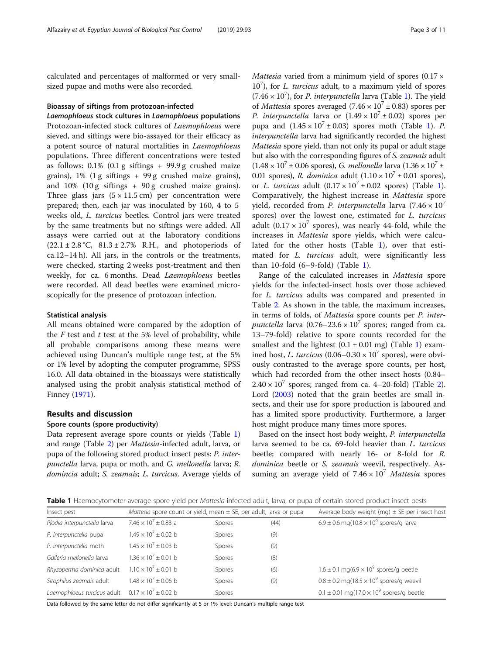<span id="page-2-0"></span>calculated and percentages of malformed or very smallsized pupae and moths were also recorded.

#### Bioassay of siftings from protozoan-infected

Laemophloeus stock cultures in Laemophloeus populations Protozoan-infected stock cultures of Laemophloeus were sieved, and siftings were bio-assayed for their efficacy as a potent source of natural mortalities in Laemophloeus populations. Three different concentrations were tested as follows:  $0.1\%$  (0.1 g siftings + 99.9 g crushed maize grains), 1% (1 g siftings + 99 g crushed maize grains), and  $10\%$  ( $10\,\text{g}$  siftings +  $90\,\text{g}$  crushed maize grains). Three glass jars  $(5 \times 11.5 \text{ cm})$  per concentration were prepared; then, each jar was inoculated by 160, 4 to 5 weeks old, L. turcicus beetles. Control jars were treated by the same treatments but no siftings were added. All assays were carried out at the laboratory conditions  $(22.1 \pm 2.8 \degree C, 81.3 \pm 2.7\% \space R.H.,$  and photoperiods of ca.12–14 h). All jars, in the controls or the treatments, were checked, starting 2 weeks post-treatment and then weekly, for ca. 6 months. Dead Laemophloeus beetles were recorded. All dead beetles were examined microscopically for the presence of protozoan infection.

## Statistical analysis

All means obtained were compared by the adoption of the  $F$  test and  $t$  test at the 5% level of probability, while all probable comparisons among these means were achieved using Duncan's multiple range test, at the 5% or 1% level by adopting the computer programme, SPSS 16.0. All data obtained in the bioassays were statistically analysed using the probit analysis statistical method of Finney [\(1971\)](#page-9-0).

#### Results and discussion

#### Spore counts (spore productivity)

Data represent average spore counts or yields (Table 1) and range (Table [2](#page-3-0)) per Mattesia-infected adult, larva, or pupa of the following stored product insect pests: P. interpunctella larva, pupa or moth, and G. mellonella larva; R. domincia adult; S. zeamais; L. turcicus. Average yields of *Mattesia* varied from a minimum yield of spores  $(0.17 \times$ 10<sup>7</sup>), for *L. turcicus* adult, to a maximum yield of spores  $(7.46 \times 10^7)$ , for *P. interpunctella* larva (Table 1). The yield of *Mattesia* spores averaged (7.46  $\times$  10<sup>7</sup>  $\pm$  0.83) spores per *P. interpunctella* larva or  $(1.49 \times 10^7 \pm 0.02)$  spores per pupa and  $(1.45 \times 10^7 \pm 0.03)$  spores moth (Table 1). P. interpunctella larva had significantly recorded the highest Mattesia spore yield, than not only its pupal or adult stage but also with the corresponding figures of S. zeamais adult  $(1.48 \times 10^7 \pm 0.06$  spores), *G. mellonella* larva  $(1.36 \times 10^7 \pm 1.06)$ 0.01 spores), R. dominica adult  $(1.10 \times 10^7 \pm 0.01$  spores), or L. turcicus adult  $(0.17 \times 10^7 \pm 0.02$  spores) (Table 1). Comparatively, the highest increase in Mattesia spore yield, recorded from P. interpunctella larva  $(7.46 \times 10^7)$ spores) over the lowest one, estimated for L. turcicus adult (0.17  $\times$  10<sup>7</sup> spores), was nearly 44-fold, while the increases in Mattesia spore yields, which were calculated for the other hosts (Table 1), over that estimated for *L. turcicus* adult, were significantly less than 10-fold  $(6-9-fold)$  (Table 1).

Range of the calculated increases in Mattesia spore yields for the infected-insect hosts over those achieved for L. turcicus adults was compared and presented in Table [2](#page-3-0). As shown in the table, the maximum increases, in terms of folds, of Mattesia spore counts per P. inter*punctella* larva  $(0.76-23.6 \times 10^7)$  spores; ranged from ca. 13–79-fold) relative to spore counts recorded for the smallest and the lightest  $(0.1 \pm 0.01 \text{ mg})$  (Table 1) examined host, *L. turcicus* (0.06–0.30  $\times$  10<sup>7</sup> spores), were obviously contrasted to the average spore counts, per host, which had recorded from the other insect hosts (0.84–  $2.40 \times 10^7$  $2.40 \times 10^7$  spores; ranged from ca. 4–20-fold) (Table 2). Lord [\(2003\)](#page-9-0) noted that the grain beetles are small insects, and their use for spore production is laboured and has a limited spore productivity. Furthermore, a larger host might produce many times more spores.

Based on the insect host body weight, P. interpunctella larva seemed to be ca. 69-fold heavier than L. turcicus beetle; compared with nearly 16- or 8-fold for R. dominica beetle or S. zeamais weevil, respectively. Assuming an average yield of  $7.46 \times 10^7$  Mattesia spores

Table 1 Haemocytometer-average spore yield per Mattesia-infected adult, larva, or pupa of certain stored product insect pests

| Insect pest                 | Mattesia spore count or yield, mean $\pm$ SE, per adult, larva or pupa |               | Average body weight (mg) $\pm$ SE per insect host |                                                                 |  |
|-----------------------------|------------------------------------------------------------------------|---------------|---------------------------------------------------|-----------------------------------------------------------------|--|
| Plodia interpunctella larva | 7.46 $\times$ 10 <sup>7</sup> $\pm$ 0.83 a                             | <b>Spores</b> | (44)                                              | $6.9 \pm 0.6$ mg(10.8 × 10 <sup>9</sup> spores/g larva          |  |
| P. interpunctella pupa      | $1.49 \times 10^7 + 0.02$ b                                            | <b>Spores</b> | (9)                                               |                                                                 |  |
| P. interpunctella moth      | $1.45 \times 10^{7} \pm 0.03$ b                                        | Spores        | (9)                                               |                                                                 |  |
| Galleria mellonella larva   | $1.36 \times 10^7 + 0.01$ b                                            | Spores        | (8)                                               |                                                                 |  |
| Rhyzopertha dominica adult  | $1.10 \times 10^7 + 0.01$ b                                            | Spores        | (6)                                               | $1.6 \pm 0.1$ mg(6.9 × 10 <sup>9</sup> spores/g beetle          |  |
| Sitophilus zeamais adult    | $1.48 \times 10^{7}$ + 0.06 b                                          | <b>Spores</b> | (9)                                               | $0.8 \pm 0.2$ mg(18.5 × 10 <sup>9</sup> spores/g weevil         |  |
| Laemophloeus turcicus adult | $0.17 \times 10^{7} \pm 0.02$ b                                        | Spores        |                                                   | $0.1 \pm 0.01$ mg(17.0 $\times$ 10 <sup>9</sup> spores/g beetle |  |

Data followed by the same letter do not differ significantly at 5 or 1% level; Duncan's multiple range test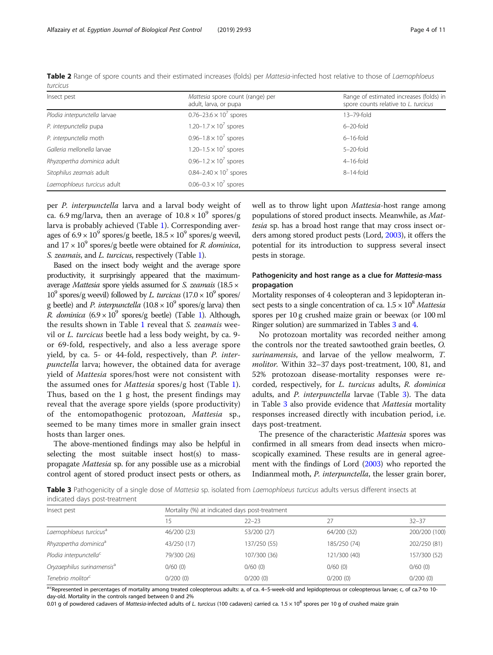| Insect pest                  | Mattesia spore count (range) per<br>adult, larva, or pupa | Range of estimated increases (folds) in<br>spore counts relative to L. turcicus |  |  |
|------------------------------|-----------------------------------------------------------|---------------------------------------------------------------------------------|--|--|
| Plodia interpunctella larvae | $0.76 - 23.6 \times 10^7$ spores                          | 13-79-fold                                                                      |  |  |
| P. interpunctella pupa       | 1.20–1.7 $\times$ 10 <sup>7</sup> spores                  | $6 - 20$ -fold                                                                  |  |  |
| P. interpunctella moth       | 0.96-1.8 $\times$ 10 <sup>7</sup> spores                  | $6-16$ -fold                                                                    |  |  |
| Galleria mellonella larvae   | 1.20-1.5 $\times$ 10 <sup>7</sup> spores                  | $5 - 20$ -fold                                                                  |  |  |
| Rhyzopertha dominica adult   | 0.96-1.2 $\times$ 10 <sup>7</sup> spores                  | $4-16$ -fold                                                                    |  |  |
| Sitophilus zeamais adult     | $0.84 - 2.40 \times 10^7$ spores                          | $8-14$ -fold                                                                    |  |  |
| Laemophloeus turcicus adult  | $0.06 - 0.3 \times 10^7$ spores                           |                                                                                 |  |  |

<span id="page-3-0"></span>Table 2 Range of spore counts and their estimated increases (folds) per Mattesia-infected host relative to those of Laemophloeus turcicus

per P. interpunctella larva and a larval body weight of ca. 6.9 mg/larva, then an average of  $10.8 \times 10^9$  spores/g larva is probably achieved (Table [1\)](#page-2-0). Corresponding averages of  $6.9 \times 10^9$  spores/g beetle,  $18.5 \times 10^9$  spores/g weevil, and  $17 \times 10^9$  spores/g beetle were obtained for *R. dominica*, S. zeamais, and L. turcicus, respectively (Table [1](#page-2-0)).

Based on the insect body weight and the average spore productivity, it surprisingly appeared that the maximumaverage Mattesia spore yields assumed for S. zeamais (18.5 ×  $10^9$  spores/g weevil) followed by L. turcicus  $(17.0 \times 10^9$  spores/ g beetle) and *P. interpunctella*  $(10.8 \times 10^9 \text{ spores/g} \text{ larva})$  then R. dominica  $(6.9 \times 10^9 \text{ spores/g beetle})$  $(6.9 \times 10^9 \text{ spores/g beetle})$  $(6.9 \times 10^9 \text{ spores/g beetle})$  (Table 1). Although, the results shown in Table [1](#page-2-0) reveal that S. zeamais weevil or L. turcicus beetle had a less body weight, by ca. 9 or 69-fold, respectively, and also a less average spore yield, by ca. 5- or 44-fold, respectively, than P. interpunctella larva; however, the obtained data for average yield of Mattesia spores/host were not consistent with the assumed ones for Mattesia spores/g host (Table [1](#page-2-0)). Thus, based on the 1 g host, the present findings may reveal that the average spore yields (spore productivity) of the entomopathogenic protozoan, Mattesia sp., seemed to be many times more in smaller grain insect hosts than larger ones.

The above-mentioned findings may also be helpful in selecting the most suitable insect host(s) to masspropagate Mattesia sp. for any possible use as a microbial control agent of stored product insect pests or others, as well as to throw light upon *Mattesia*-host range among populations of stored product insects. Meanwhile, as Mattesia sp. has a broad host range that may cross insect orders among stored product pests (Lord, [2003\)](#page-9-0), it offers the potential for its introduction to suppress several insect pests in storage.

# Pathogenicity and host range as a clue for Mattesia-mass propagation

Mortality responses of 4 coleopteran and 3 lepidopteran insect pests to a single concentration of ca.  $1.5 \times 10^8$  Mattesia spores per 10 g crushed maize grain or beewax (or 100 ml Ringer solution) are summarized in Tables 3 and [4](#page-4-0).

No protozoan mortality was recorded neither among the controls nor the treated sawtoothed grain beetles, O. surinamensis, and larvae of the yellow mealworm, T. molitor. Within 32–37 days post-treatment, 100, 81, and 52% protozoan disease-mortality responses were recorded, respectively, for L. turcicus adults, R. dominica adults, and P. interpunctella larvae (Table 3). The data in Table 3 also provide evidence that Mattesia mortality responses increased directly with incubation period, i.e. days post-treatment.

The presence of the characteristic Mattesia spores was confirmed in all smears from dead insects when microscopically examined. These results are in general agreement with the findings of Lord ([2003](#page-9-0)) who reported the Indianmeal moth, P. interpunctella, the lesser grain borer,

Table 3 Pathogenicity of a single dose of Mattesia sp. isolated from Laemophloeus turcicus adults versus different insects at indicated days post-treatment

| Insect pest                            | Mortality (%) at indicated days post-treatment |              |              |               |  |  |  |
|----------------------------------------|------------------------------------------------|--------------|--------------|---------------|--|--|--|
|                                        | 5                                              | $22 - 23$    | 27           | $32 - 37$     |  |  |  |
| Laemophloeus turcicus <sup>a</sup>     | 46/200 (23)                                    | 53/200 (27)  | 64/200 (32)  | 200/200 (100) |  |  |  |
| Rhyzopertha dominica <sup>a</sup>      | 43/250 (17)                                    | 137/250 (55) | 185/250 (74) | 202/250 (81)  |  |  |  |
| Plodia interpunctella <sup>c</sup>     | 79/300 (26)                                    | 107/300 (36) | 121/300 (40) | 157/300 (52)  |  |  |  |
| Oryzaephilus surinamensis <sup>a</sup> | $0/60$ (0)                                     | $0/60$ (0)   | 0/60(0)      | $0/60$ (0)    |  |  |  |
| Tenebrio molitor <sup>c</sup>          | 0/200(0)                                       | 0/200(0)     | 0/200(0)     | 0/200(0)      |  |  |  |

a<sup>xc</sup>Represented in percentages of mortality among treated coleopterous adults: a, of ca. 4–5-week-old and lepidopterous or coleopterous larvae; c, of ca.7-to 10day-old. Mortality in the controls ranged between 0 and 2%

0.01 g of powdered cadavers of Mattesia-infected adults of L. turcicus (100 cadavers) carried ca.  $1.5 \times 10^8$  spores per 10 g of crushed maize grain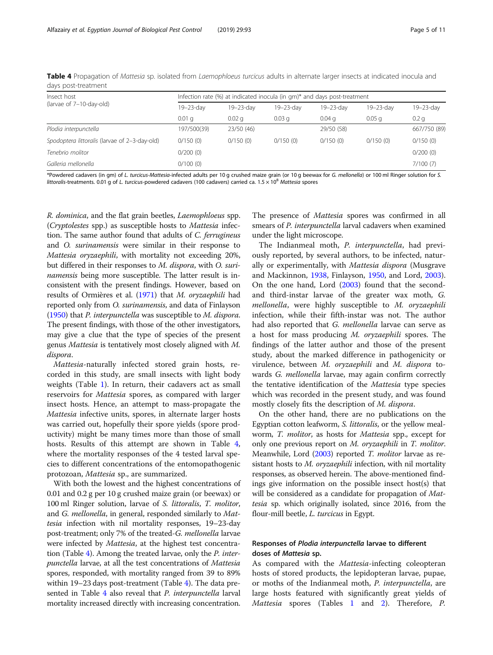| Insect host                                   | Infection rate (%) at indicated inocula (in gm)* and days post-treatment |            |                   |            |                   |                  |  |  |
|-----------------------------------------------|--------------------------------------------------------------------------|------------|-------------------|------------|-------------------|------------------|--|--|
| (larvae of 7-10-day-old)                      | 19-23-day                                                                | 19-23-day  | 19-23-dav         | 19-23-dav  | 19-23-day         | 19-23-day        |  |  |
|                                               | 0.01 <sub>q</sub>                                                        | 0.02a      | 0.03 <sub>q</sub> | $0.04$ q   | 0.05 <sub>q</sub> | 0.2 <sub>q</sub> |  |  |
| Plodia interpunctella                         | 197/500(39)                                                              | 23/50 (46) |                   | 29/50 (58) |                   | 667/750 (89)     |  |  |
| Spodoptera littoralis (larvae of 2-3-day-old) | 0/150(0)                                                                 | 0/150(0)   | 0/150(0)          | 0/150(0)   | 0/150(0)          | 0/150(0)         |  |  |
| Tenebrio molitor                              | 0/200(0)                                                                 |            |                   |            |                   | 0/200(0)         |  |  |
| Galleria mellonella                           | 0/100(0)                                                                 |            |                   |            |                   | 7/100(7)         |  |  |

<span id="page-4-0"></span>Table 4 Propagation of Mattesia sp. isolated from Laemophloeus turcicus adults in alternate larger insects at indicated inocula and days post-treatment

\*Powdered cadavers (in gm) of L. turcicus-Mattesia-infected adults per 10 g crushed maize grain (or 10 g beewax for G. mellonella) or 100 ml Ringer solution for S. littoralis-treatments. 0.01 g of L. turcicus-powdered cadavers (100 cadavers) carried ca.  $1.5 \times 10^8$  Mattesia spores

R. dominica, and the flat grain beetles, Laemophloeus spp. (Cryptolestes spp.) as susceptible hosts to Mattesia infection. The same author found that adults of C. ferrugineus and O. surinamensis were similar in their response to Mattesia oryzaephili, with mortality not exceeding 20%, but differed in their responses to M. dispora, with O. surinamensis being more susceptible. The latter result is inconsistent with the present findings. However, based on results of Ormières et al. [\(1971\)](#page-9-0) that M. oryzaephili had reported only from O. surinamensis, and data of Finlayson ([1950](#page-9-0)) that P. interpunctella was susceptible to M. dispora. The present findings, with those of the other investigators, may give a clue that the type of species of the present genus Mattesia is tentatively most closely aligned with M. dispora.

Mattesia-naturally infected stored grain hosts, recorded in this study, are small insects with light body weights (Table [1](#page-2-0)). In return, their cadavers act as small reservoirs for Mattesia spores, as compared with larger insect hosts. Hence, an attempt to mass-propagate the Mattesia infective units, spores, in alternate larger hosts was carried out, hopefully their spore yields (spore productivity) might be many times more than those of small hosts. Results of this attempt are shown in Table 4, where the mortality responses of the 4 tested larval species to different concentrations of the entomopathogenic protozoan, Mattesia sp., are summarized.

With both the lowest and the highest concentrations of 0.01 and 0.2 g per 10 g crushed maize grain (or beewax) or 100 ml Ringer solution, larvae of S. littoralis, T. molitor, and G. mellonella, in general, responded similarly to Mattesia infection with nil mortality responses, 19–23-day post-treatment; only 7% of the treated-G. mellonella larvae were infected by *Mattesia*, at the highest test concentration (Table 4). Among the treated larvae, only the P. interpunctella larvae, at all the test concentrations of Mattesia spores, responded, with mortality ranged from 39 to 89% within 19–23 days post-treatment (Table 4). The data presented in Table 4 also reveal that *P. interpunctella* larval mortality increased directly with increasing concentration.

The presence of Mattesia spores was confirmed in all smears of P. interpunctella larval cadavers when examined under the light microscope.

The Indianmeal moth, P. interpunctella, had previously reported, by several authors, to be infected, naturally or experimentally, with Mattesia dispora (Musgrave and Mackinnon, [1938](#page-9-0), Finlayson, [1950,](#page-9-0) and Lord, [2003](#page-9-0)). On the one hand, Lord [\(2003\)](#page-9-0) found that the secondand third-instar larvae of the greater wax moth, G. mellonella, were highly susceptible to M. oryzaephili infection, while their fifth-instar was not. The author had also reported that G. mellonella larvae can serve as a host for mass producing M. oryzaephili spores. The findings of the latter author and those of the present study, about the marked difference in pathogenicity or virulence, between M. oryzaephili and M. dispora towards G. mellonella larvae, may again confirm correctly the tentative identification of the Mattesia type species which was recorded in the present study, and was found mostly closely fits the description of M. dispora.

On the other hand, there are no publications on the Egyptian cotton leafworm, S. littoralis, or the yellow mealworm, T. molitor, as hosts for Mattesia spp., except for only one previous report on M. oryzaephili in T. molitor. Meanwhile, Lord [\(2003\)](#page-9-0) reported T. molitor larvae as resistant hosts to M. oryzaephili infection, with nil mortality responses, as observed herein. The above-mentioned findings give information on the possible insect host(s) that will be considered as a candidate for propagation of Mattesia sp. which originally isolated, since 2016, from the flour-mill beetle, *L. turcicus* in Egypt.

# Responses of Plodia interpunctella larvae to different doses of Mattesia sp.

As compared with the Mattesia-infecting coleopteran hosts of stored products, the lepidopteran larvae, pupae, or moths of the Indianmeal moth, P. interpunctella, are large hosts featured with significantly great yields of Mattesia spores (Tables [1](#page-2-0) and [2\)](#page-3-0). Therefore, P.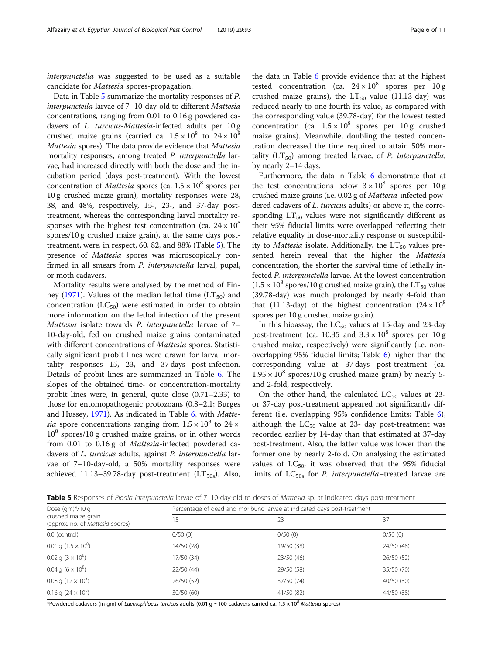interpunctella was suggested to be used as a suitable candidate for Mattesia spores-propagation.

Data in Table 5 summarize the mortality responses of P. interpunctella larvae of 7–10-day-old to different Mattesia concentrations, ranging from 0.01 to 0.16 g powdered cadavers of L. turcicus-Mattesia-infected adults per 10 g crushed maize grains (carried ca.  $1.5 \times 10^8$  to  $24 \times 10^8$ Mattesia spores). The data provide evidence that Mattesia mortality responses, among treated P. interpunctella larvae, had increased directly with both the dose and the incubation period (days post-treatment). With the lowest concentration of *Mattesia* spores (ca.  $1.5 \times 10^8$  spores per 10 g crushed maize grain), mortality responses were 28, 38, and 48%, respectively, 15-, 23-, and 37-day posttreatment, whereas the corresponding larval mortality responses with the highest test concentration (ca.  $24 \times 10^8$ ) spores/10 g crushed maize grain), at the same days posttreatment, were, in respect, 60, 82, and 88% (Table 5). The presence of Mattesia spores was microscopically confirmed in all smears from P. interpunctella larval, pupal, or moth cadavers.

Mortality results were analysed by the method of Fin-ney ([1971](#page-9-0)). Values of the median lethal time  $(LT_{50})$  and concentration  $(LC_{50})$  were estimated in order to obtain more information on the lethal infection of the present Mattesia isolate towards P. interpunctella larvae of 7– 10-day-old, fed on crushed maize grains contaminated with different concentrations of Mattesia spores. Statistically significant probit lines were drawn for larval mortality responses 15, 23, and 37 days post-infection. Details of probit lines are summarized in Table [6.](#page-6-0) The slopes of the obtained time- or concentration-mortality probit lines were, in general, quite close (0.71–2.33) to those for entomopathogenic protozoans (0.8–2.1; Burges and Hussey, [1971\)](#page-9-0). As indicated in Table [6,](#page-6-0) with Mattesia spore concentrations ranging from  $1.5 \times 10^8$  to  $24 \times$  $10^8$  spores/10 g crushed maize grains, or in other words from 0.01 to 0.16 g of Mattesia-infected powdered cadavers of *L. turcicus* adults, against *P. interpunctella* larvae of 7–10-day-old, a 50% mortality responses were achieved 11.13-39.78-day post-treatment ( $LT<sub>50s</sub>$ ). Also,

the data in Table [6](#page-6-0) provide evidence that at the highest tested concentration (ca.  $24 \times 10^8$  spores per 10 g crushed maize grains), the  $LT_{50}$  value (11.13-day) was reduced nearly to one fourth its value, as compared with the corresponding value (39.78-day) for the lowest tested concentration (ca.  $1.5 \times 10^8$  spores per 10 g crushed maize grains). Meanwhile, doubling the tested concentration decreased the time required to attain 50% mor-

by nearly 2–14 days. Furthermore, the data in Table [6](#page-6-0) demonstrate that at the test concentrations below  $3 \times 10^8$  spores per 10 g crushed maize grains (i.e. 0.02 g of Mattesia-infected powdered cadavers of L. turcicus adults) or above it, the corresponding  $LT_{50}$  values were not significantly different as their 95% fiducial limits were overlapped reflecting their relative equality in dose-mortality response or susceptibility to *Mattesia* isolate. Additionally, the  $LT_{50}$  values presented herein reveal that the higher the Mattesia concentration, the shorter the survival time of lethally infected P. interpunctella larvae. At the lowest concentration  $(1.5 \times 10^8 \text{ spores}/10 \text{ g} \text{ crushed } 10^8 \text{ grain})$ , the LT<sub>50</sub> value (39.78-day) was much prolonged by nearly 4-fold than that (11.13-day) of the highest concentration  $(24 \times 10^8)$ spores per 10 g crushed maize grain).

tality  $(LT_{50})$  among treated larvae, of *P. interpunctella*,

In this bioassay, the  $LC_{50}$  values at 15-day and 23-day post-treatment (ca. 10.35 and  $3.3 \times 10^8$  spores per 10 g crushed maize, respectively) were significantly (i.e. nonoverlapping 95% fiducial limits; Table [6](#page-6-0)) higher than the corresponding value at 37 days post-treatment (ca.  $1.95 \times 10^8$  spores/10 g crushed maize grain) by nearly 5and 2-fold, respectively.

On the other hand, the calculated  $LC_{50}$  values at 23or 37-day post-treatment appeared not significantly different (i.e. overlapping 95% confidence limits; Table [6](#page-6-0)), although the  $LC_{50}$  value at 23- day post-treatment was recorded earlier by 14-day than that estimated at 37-day post-treatment. Also, the latter value was lower than the former one by nearly 2-fold. On analysing the estimated values of  $LC_{50}$ , it was observed that the 95% fiducial limits of  $LC_{50s}$  for *P. interpunctella*–treated larvae are

Table 5 Responses of Plodia interpunctella larvae of 7–10-day-old to doses of Mattesia sp. at indicated days post-treatment

| Dose $(qm)*/10q$                                        | Percentage of dead and moribund larvae at indicated days post-treatment |            |            |  |  |  |  |
|---------------------------------------------------------|-------------------------------------------------------------------------|------------|------------|--|--|--|--|
| crushed maize grain<br>(approx. no. of Mattesia spores) | 15                                                                      | 23         | 37         |  |  |  |  |
| 0.0 (control)                                           | 0/50(0)                                                                 | 0/50(0)    | 0/50(0)    |  |  |  |  |
| 0.01 g $(1.5 \times 10^8)$                              | 14/50 (28)                                                              | 19/50 (38) | 24/50 (48) |  |  |  |  |
| 0.02 g $(3 \times 10^8)$                                | 17/50 (34)                                                              | 23/50(46)  | 26/50 (52) |  |  |  |  |
| 0.04 g $(6 \times 10^8)$                                | 22/50 (44)                                                              | 29/50 (58) | 35/50 (70) |  |  |  |  |
| 0.08 g $(12 \times 10^8)$                               | 26/50 (52)                                                              | 37/50 (74) | 40/50 (80) |  |  |  |  |
| 0.16 g $(24 \times 10^8)$                               | 30/50 (60)                                                              | 41/50 (82) | 44/50 (88) |  |  |  |  |

\*Powdered cadavers (in gm) of Laemophloeus turcicus adults (0.01 g ≈ 100 cadavers carried ca. 1.5 × 10<sup>8</sup> Mattesia spores)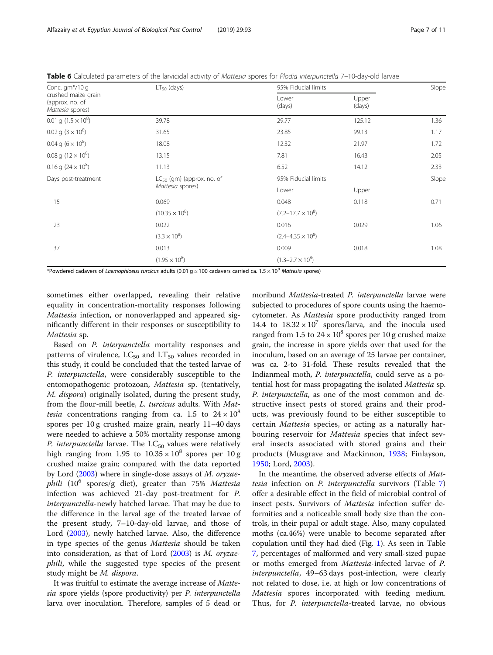| Conc. gm*/10 g                                             | $LT50$ (days)                  | 95% Fiducial limits        | Slope           |      |
|------------------------------------------------------------|--------------------------------|----------------------------|-----------------|------|
| crushed maize grain<br>(approx. no. of<br>Mattesia spores) |                                | Lower<br>(days)            | Upper<br>(days) |      |
| 0.01 g $(1.5 \times 10^8)$                                 | 39.78                          | 29.77                      | 125.12          | 1.36 |
| 0.02 g $(3 \times 10^8)$                                   | 31.65                          | 23.85                      | 99.13           | 1.17 |
| 0.04 g $(6 \times 10^8)$                                   | 18.08                          | 12.32                      | 21.97           | 1.72 |
| 0.08 g $(12 \times 10^8)$                                  | 13.15                          | 7.81                       | 16.43           | 2.05 |
| 0.16 g $(24 \times 10^8)$                                  | 11.13                          | 6.52                       | 14.12           | 2.33 |
| Days post-treatment                                        | $LC_{50}$ (gm) (approx. no. of | 95% Fiducial limits        | Slope           |      |
|                                                            | Mattesia spores)               | Lower                      | Upper           |      |
| 15                                                         | 0.069                          | 0.048                      | 0.118           | 0.71 |
|                                                            | $(10.35 \times 10^8)$          | $(7.2 - 17.7 \times 10^8)$ |                 |      |
| 23                                                         | 0.022                          | 0.016                      | 0.029           | 1.06 |
|                                                            | $(3.3 \times 10^8)$            | $(2.4 - 4.35 \times 10^8)$ |                 |      |
| 37                                                         | 0.013                          | 0.009                      | 0.018           | 1.08 |
|                                                            | $(1.95 \times 10^8)$           | $(1.3 - 2.7 \times 10^8)$  |                 |      |

<span id="page-6-0"></span>Table 6 Calculated parameters of the larvicidal activity of Mattesia spores for Plodia interpunctella 7-10-day-old larvae

\*Powdered cadavers of Laemophloeus turcicus adults (0.01 g  $\simeq$  100 cadavers carried ca. 1.5  $\times$  10<sup>8</sup> Mattesia spores)

sometimes either overlapped, revealing their relative equality in concentration-mortality responses following Mattesia infection, or nonoverlapped and appeared significantly different in their responses or susceptibility to Mattesia sp.

Based on P. interpunctella mortality responses and patterns of virulence,  $LC_{50}$  and  $LT_{50}$  values recorded in this study, it could be concluded that the tested larvae of P. interpunctella, were considerably susceptible to the entomopathogenic protozoan, Mattesia sp. (tentatively, M. dispora) originally isolated, during the present study, from the flour-mill beetle, L. turcicus adults. With Mat*tesia* concentrations ranging from ca. 1.5 to  $24 \times 10^8$ spores per 10 g crushed maize grain, nearly 11–40 days were needed to achieve a 50% mortality response among P. interpunctella larvae. The  $LC_{50}$  values were relatively high ranging from 1.95 to  $10.35 \times 10^8$  spores per 10 g crushed maize grain; compared with the data reported by Lord [\(2003\)](#page-9-0) where in single-dose assays of M. oryzae*phili* (10<sup>6</sup> spores/g diet), greater than 75% Mattesia infection was achieved 21-day post-treatment for P. interpunctella-newly hatched larvae. That may be due to the difference in the larval age of the treated larvae of the present study, 7–10-day-old larvae, and those of Lord ([2003](#page-9-0)), newly hatched larvae. Also, the difference in type species of the genus Mattesia should be taken into consideration, as that of Lord [\(2003\)](#page-9-0) is M. oryzaephili, while the suggested type species of the present study might be M. dispora.

It was fruitful to estimate the average increase of Mattesia spore yields (spore productivity) per P. interpunctella larva over inoculation. Therefore, samples of 5 dead or

moribund Mattesia-treated P. interpunctella larvae were subjected to procedures of spore counts using the haemocytometer. As Mattesia spore productivity ranged from 14.4 to  $18.32 \times 10^7$  spores/larva, and the inocula used ranged from 1.5 to  $24 \times 10^8$  spores per 10 g crushed maize grain, the increase in spore yields over that used for the inoculum, based on an average of 25 larvae per container, was ca. 2-to 31-fold. These results revealed that the Indianmeal moth, P. interpunctella, could serve as a potential host for mass propagating the isolated Mattesia sp. P. interpunctella, as one of the most common and destructive insect pests of stored grains and their products, was previously found to be either susceptible to certain Mattesia species, or acting as a naturally harbouring reservoir for Mattesia species that infect several insects associated with stored grains and their products (Musgrave and Mackinnon, [1938;](#page-9-0) Finlayson, [1950;](#page-9-0) Lord, [2003\)](#page-9-0).

In the meantime, the observed adverse effects of Mattesia infection on P. interpunctella survivors (Table [7](#page-7-0)) offer a desirable effect in the field of microbial control of insect pests. Survivors of Mattesia infection suffer deformities and a noticeable small body size than the controls, in their pupal or adult stage. Also, many copulated moths (ca.46%) were unable to become separated after copulation until they had died (Fig. [1\)](#page-7-0). As seen in Table [7,](#page-7-0) percentages of malformed and very small-sized pupae or moths emerged from Mattesia-infected larvae of P. interpunctella, 49–63 days post-infection, were clearly not related to dose, i.e. at high or low concentrations of Mattesia spores incorporated with feeding medium. Thus, for *P. interpunctella*-treated larvae, no obvious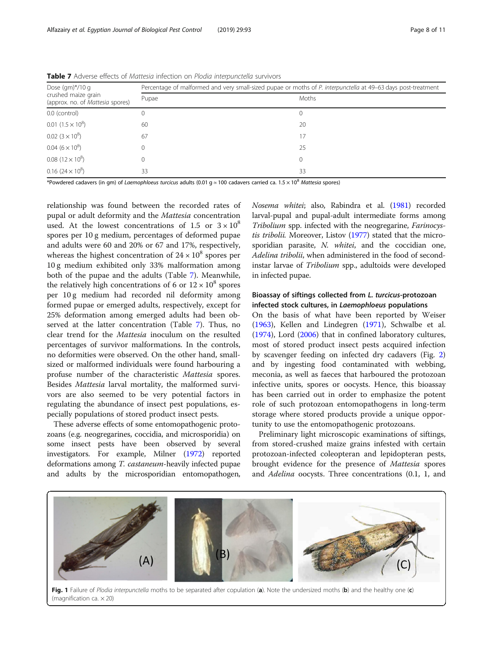| Dose $(gm)*/10 g$<br>crushed maize grain<br>(approx. no. of Mattesia spores) | Percentage of malformed and very small-sized pupae or moths of P. interpunctella at 49–63 days post-treatment |          |  |  |  |  |  |
|------------------------------------------------------------------------------|---------------------------------------------------------------------------------------------------------------|----------|--|--|--|--|--|
|                                                                              | Pupae                                                                                                         | Moths    |  |  |  |  |  |
| 0.0 (control)                                                                |                                                                                                               |          |  |  |  |  |  |
| $0.01$ $(1.5 \times 10^8)$                                                   | 60                                                                                                            | 20       |  |  |  |  |  |
| $0.02~(3\times10^8)$                                                         | 67                                                                                                            | 17       |  |  |  |  |  |
| $0.04~(6\times10^8)$                                                         |                                                                                                               | 25       |  |  |  |  |  |
| $0.08(12\times10^8)$                                                         | 0                                                                                                             | $\Omega$ |  |  |  |  |  |
| $0.16$ (24 $\times$ 10 <sup>8</sup> )                                        | 33                                                                                                            | 33       |  |  |  |  |  |

<span id="page-7-0"></span>Table 7 Adverse effects of Mattesia infection on Plodia interpunctella survivors

\*Powdered cadavers (in gm) of Laemophloeus turcicus adults (0.01 g  $\simeq$  100 cadavers carried ca. 1.5 × 10<sup>8</sup> Mattesia spores)

relationship was found between the recorded rates of pupal or adult deformity and the Mattesia concentration used. At the lowest concentrations of 1.5 or  $3 \times 10^8$ spores per 10 g medium, percentages of deformed pupae and adults were 60 and 20% or 67 and 17%, respectively, whereas the highest concentration of  $24 \times 10^8$  spores per 10 g medium exhibited only 33% malformation among both of the pupae and the adults (Table 7). Meanwhile, the relatively high concentrations of 6 or  $12 \times 10^8$  spores per 10 g medium had recorded nil deformity among formed pupae or emerged adults, respectively, except for 25% deformation among emerged adults had been observed at the latter concentration (Table 7). Thus, no clear trend for the Mattesia inoculum on the resulted percentages of survivor malformations. In the controls, no deformities were observed. On the other hand, smallsized or malformed individuals were found harbouring a profuse number of the characteristic Mattesia spores. Besides Mattesia larval mortality, the malformed survivors are also seemed to be very potential factors in regulating the abundance of insect pest populations, especially populations of stored product insect pests.

These adverse effects of some entomopathogenic protozoans (e.g. neogregarines, coccidia, and microsporidia) on some insect pests have been observed by several investigators. For example, Milner ([1972](#page-9-0)) reported deformations among T. castaneum-heavily infected pupae and adults by the microsporidian entomopathogen, Nosema whitei; also, Rabindra et al. [\(1981\)](#page-10-0) recorded larval-pupal and pupal-adult intermediate forms among Tribolium spp. infected with the neogregarine, Farinocystis tribolii. Moreover, Listov [\(1977\)](#page-9-0) stated that the microsporidian parasite, N. whitei, and the coccidian one, Adelina tribolii, when administered in the food of secondinstar larvae of Tribolium spp., adultoids were developed in infected pupae.

# Bioassay of siftings collected from L. turcicus-protozoan infected stock cultures, in Laemophloeus populations

On the basis of what have been reported by Weiser ([1963\)](#page-10-0), Kellen and Lindegren [\(1971](#page-9-0)), Schwalbe et al. ([1974\)](#page-10-0), Lord ([2006](#page-9-0)) that in confined laboratory cultures, most of stored product insect pests acquired infection by scavenger feeding on infected dry cadavers (Fig. [2](#page-8-0)) and by ingesting food contaminated with webbing, meconia, as well as faeces that harboured the protozoan infective units, spores or oocysts. Hence, this bioassay has been carried out in order to emphasize the potent role of such protozoan entomopathogens in long-term storage where stored products provide a unique opportunity to use the entomopathogenic protozoans.

Preliminary light microscopic examinations of siftings, from stored-crushed maize grains infested with certain protozoan-infected coleopteran and lepidopteran pests, brought evidence for the presence of Mattesia spores and Adelina oocysts. Three concentrations (0.1, 1, and



(magnification ca.  $\times$  20)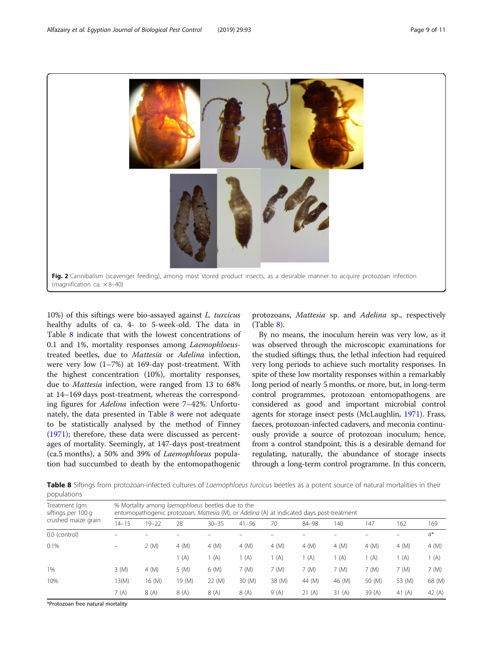<span id="page-8-0"></span>

10%) of this siftings were bio-assayed against L. turcicus healthy adults of ca. 4- to 5-week-old. The data in Table 8 indicate that with the lowest concentrations of 0.1 and 1%, mortality responses among *Laemophloeus*treated beetles, due to Mattesia or Adelina infection, were very low (1–7%) at 169-day post-treatment. With the highest concentration (10%), mortality responses, due to Mattesia infection, were ranged from 13 to 68% at 14–169 days post-treatment, whereas the corresponding figures for Adelina infection were 7–42%. Unfortunately, the data presented in Table 8 were not adequate to be statistically analysed by the method of Finney ([1971](#page-9-0)); therefore, these data were discussed as percentages of mortality. Seemingly, at 147-days post-treatment (ca.5 months), a 50% and 39% of Laemophloeus population had succumbed to death by the entomopathogenic

protozoans, Mattesia sp. and Adelina sp., respectively (Table 8).

By no means, the inoculum herein was very low, as it was observed through the microscopic examinations for the studied siftings; thus, the lethal infection had required very long periods to achieve such mortality responses. In spite of these low mortality responses within a remarkably long period of nearly 5 months, or more, but, in long-term control programmes, protozoan entomopathogens are considered as good and important microbial control agents for storage insect pests (McLaughlin, [1971](#page-9-0)). Frass, faeces, protozoan-infected cadavers, and meconia continuously provide a source of protozoan inoculum; hence, from a control standpoint, this is a desirable demand for regulating, naturally, the abundance of storage insects through a long-term control programme. In this concern,

Table 8 Siftings from protozoan-infected cultures of Laemophloeus turcicus beetles as a potent source of natural mortalities in their populations

| Treatment (gm<br>siftings per 100 g<br>crushed maize grain | % Mortality among laemophloeus beetles due to the<br>entomopathogenic protozoan, Mattesia (M), or Adelina (A) at indicated days post-treatment |           |        |            |            |           |            |            |        |            |            |
|------------------------------------------------------------|------------------------------------------------------------------------------------------------------------------------------------------------|-----------|--------|------------|------------|-----------|------------|------------|--------|------------|------------|
|                                                            | $14 - 15$                                                                                                                                      | $19 - 22$ | 28     | $30 - 35$  | $41 - 56$  | 70        | 84-98      | 140        | 147    | 162        | 169        |
| 0.0 (control)                                              |                                                                                                                                                |           |        |            |            |           |            |            |        |            | $4^*$      |
| 0.1%                                                       |                                                                                                                                                | 2(M)      | 4(M)   | $4 \, (M)$ | $4 \, (M)$ | $4 \ (M)$ | $4 \, (M)$ | $4 \, (M)$ | 4 (M)  | $4 \, (M)$ | $4 \, (M)$ |
|                                                            |                                                                                                                                                |           | (A)    | (A)        | (A)        | (A)       | (A)        | 1 (A)      | 1 (A)  | 1 (A)      | 1 (A)      |
| 1%                                                         | $3 \ (M)$                                                                                                                                      | 4(M)      | 5(M)   | 6 (M)      | 7 (M)      | 7 (M)     | 7 (M)      | 7 (M)      | 7 (M)  | 7 (M)      | 7 (M)      |
| 10%                                                        | 13(M)                                                                                                                                          | 16 (M)    | 19 (M) | 22 (M)     | 30 (M)     | 38 (M)    | 44 (M)     | 46 (M)     | 50 (M) | 53 (M)     | 68 (M)     |
|                                                            | 7 (A)                                                                                                                                          | 8(A)      | 8(A)   | 8(A)       | 8(A)       | 9(A)      | 21(A)      | 31(A)      | 39 (A) | 41 $(A)$   | 42 $(A)$   |

\*Protozoan free natural mortality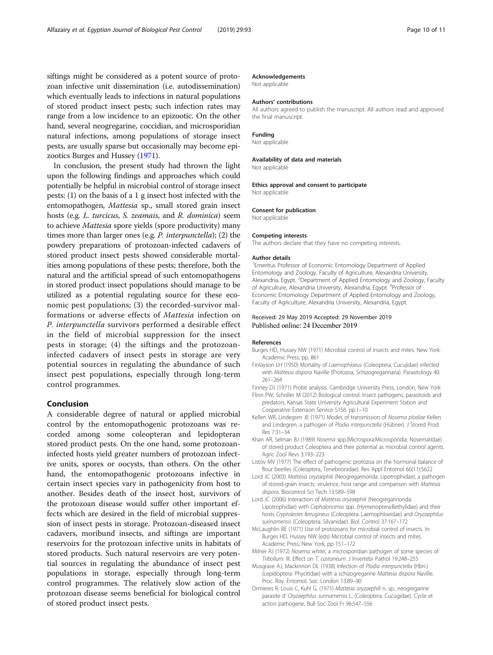<span id="page-9-0"></span>siftings might be considered as a potent source of protozoan infective unit dissemination (i.e. autodissemination) which eventually leads to infections in natural populations of stored product insect pests; such infection rates may range from a low incidence to an epizootic. On the other hand, several neogregarine, coccidian, and microsporidian natural infections, among populations of storage insect pests, are usually sparse but occasionally may become epizootics Burges and Hussey (1971).

In conclusion, the present study had thrown the light upon the following findings and approaches which could potentially be helpful in microbial control of storage insect pests: (1) on the basis of a 1 g insect host infected with the entomopathogen, Mattesia sp., small stored grain insect hosts (e.g. L. turcicus, S. zeamais, and R. dominica) seem to achieve Mattesia spore yields (spore productivity) many times more than larger ones (e.g. P. interpunctella); (2) the powdery preparations of protozoan-infected cadavers of stored product insect pests showed considerable mortalities among populations of these pests; therefore, both the natural and the artificial spread of such entomopathogens in stored product insect populations should manage to be utilized as a potential regulating source for these economic pest populations; (3) the recorded-survivor malformations or adverse effects of Mattesia infection on P. interpunctella survivors performed a desirable effect in the field of microbial suppression for the insect pests in storage; (4) the siftings and the protozoaninfected cadavers of insect pests in storage are very potential sources in regulating the abundance of such insect pest populations, especially through long-term control programmes.

# Conclusion

A considerable degree of natural or applied microbial control by the entomopathogenic protozoans was recorded among some coleopteran and lepidopteran stored product pests. On the one hand, some protozoaninfected hosts yield greater numbers of protozoan infective units, spores or oocysts, than others. On the other hand, the entomopathogenic protozoans infective in certain insect species vary in pathogenicity from host to another. Besides death of the insect host, survivors of the protozoan disease would suffer other important effects which are desired in the field of microbial suppression of insect pests in storage. Protozoan-diseased insect cadavers, moribund insects, and siftings are important reservoirs for the protozoan infective units in habitats of stored products. Such natural reservoirs are very potential sources in regulating the abundance of insect pest populations in storage, especially through long-term control programmes. The relatively slow action of the protozoan disease seems beneficial for biological control of stored product insect pests.

#### Acknowledgements

Not applicable

#### Authors' contributions

All authors agreed to publish the manuscript. All authors read and approved the final manuscript.

#### Funding

Not applicable

#### Availability of data and materials

Not applicable

#### Ethics approval and consent to participate

Not applicable

#### Consent for publication

Not applicable

#### Competing interests

The authors declare that they have no competing interests.

#### Author details

<sup>1</sup> Emeritus Professor of Economic Entomology Department of Applied Entomology and Zoology, Faculty of Agriculture, Alexandria University, Alexandria, Egypt. <sup>2</sup>Department of Applied Entomology and Zoology, Faculty of Agriculture, Alexandria University, Alexandria, Egypt. <sup>3</sup>Professor of Economic Entomology Department of Applied Entomology and Zoology, Faculty of Agriculture, Alexandria University, Alexandria, Egypt.

#### Received: 29 May 2019 Accepted: 29 November 2019 Published online: 24 December 2019

#### References

- Burges HD, Hussey NW (1971) Microbial control of insects and mites. New York: Academic Press; pp. 861
- Finlayson LH (1950) Mortality of Laemophloeus (Coleoptera, Cucujidae) infected with Mattesia dispora Naville (Protozoa, Schizogregarinaria). Parasitology 40: 261–264
- Finney DJ (1971) Probit analysis. Cambridge University Press, London, New York Flinn PW, Scholler M (2012) Biological control: Insect pathogens, parasitoids and
- predators. Kansas State University Agricultural Experiment Station and Cooperative Extension Service S156. pp.1–10
- Kellen WR, Lindegren JE (1971) Modes of transmission of Nosema plodiae Kellen and Lindegren, a pathogen of Plodia interpunctella (Hübner). J Stored Prod Res 7:31–34
- Khan AR, Selman BJ (1989) Nosema spp.(Microspora:Microsporidia: Nosematidae) of stored product Coleoptera and their potential as microbial control agents. Agric Zool Revs 3:193–223
- Listov MV (1977) The effect of pathogenic protozoa on the hormonal balance of flour beetles (Coleoptera, Tenebrionidae). Rev Appl Entomol 66(11):5622
- Lord JC (2003) Mattesia oryzaephili (Neogregarinorida: Lipotrophidae), a pathogen of stored-grain insects: virulence, host range and comparison with Mattesia dispora. Biocontrol Sci Tech 13:589–598
- Lord JC (2006) Interaction of Mattesia oryzaephili (Neogregarinorida: Lipotrophidae) with Cephalonomia spp. (Hymenoptera:Bethylidae) and their hosts Cryptolestes ferrugineus (Coleoptera: Laemophloeidae) and Oryzaephilus surinamensis (Coleoptera: Silvanidae). Biol. Control 37:167–172
- McLaughlin RE (1971) Use of protozoans for microbial control of insects. In: Burges HD, Hussey NW (eds) Microbial control of insects and mites. Academic Press, New York, pp 151–172
- Milner RJ (1972) Nosema whitei, a microsporidian pathogen of some species of Tribolium: III. Effect on T. castaneum. J Invertebr Pathol 19:248–255
- Musgrave AJ, Mackinnon DL (1938) Infection of Plodia interpunctella (Hbn.) (Lepidoptera: Phycitidae) with a schizogregarine Mattesia dispora Naville. Proc. Roy. Entomol. Soc. London 13:89–90
- Ormieres R, Louis C, Kuhl G. (1971) Mattesia oryzaephili n. sp., neogregarine parasite d' Oryzaephilus surinamensis L. (Coleoptera: Cucugidae). Cycle et action pathogene, Bull Soc Zool Fr 96:547–556